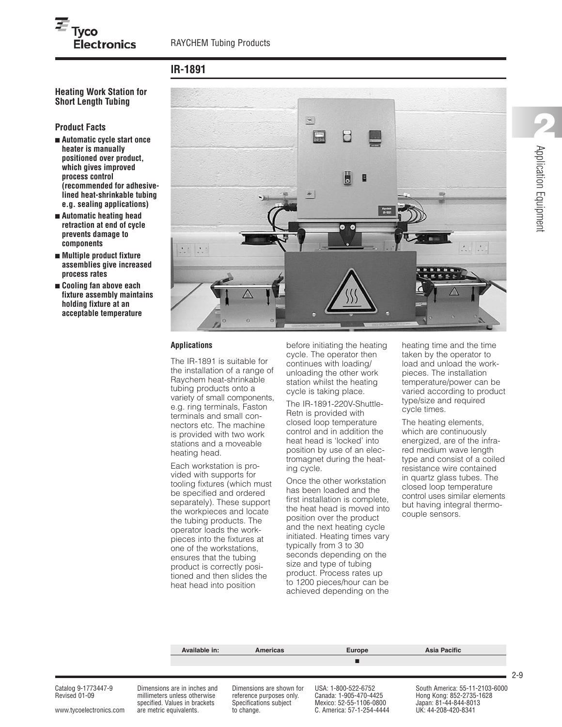# **IR-1891**

**Heating Work Station for Short Length Tubing**

### **Product Facts**

- **■ Automatic cycle start once heater is manually positioned over product, which gives improved process control (recommended for adhesivelined heat-shrinkable tubing e.g. sealing applications)**
- **■ Automatic heating head retraction at end of cycle prevents damage to components**
- **■ Multiple product fixture assemblies give increased process rates**
- **■ Cooling fan above each fixture assembly maintains holding fixture at an acceptable temperature**



#### **Applications**

The IR-1891 is suitable for the installation of a range of Raychem heat-shrinkable tubing products onto a variety of small components, e.g. ring terminals, Faston terminals and small connectors etc. The machine is provided with two work stations and a moveable heating head.

Each workstation is provided with supports for tooling fixtures (which must be specified and ordered separately). These support the workpieces and locate the tubing products. The operator loads the workpieces into the fixtures at one of the workstations, ensures that the tubing product is correctly positioned and then slides the heat head into position

before initiating the heating cycle. The operator then continues with loading/ unloading the other work station whilst the heating cycle is taking place.

The IR-1891-220V-Shuttle-Retn is provided with closed loop temperature control and in addition the heat head is 'locked' into position by use of an electromagnet during the heating cycle.

Once the other workstation has been loaded and the first installation is complete, the heat head is moved into position over the product and the next heating cycle initiated. Heating times vary typically from 3 to 30 seconds depending on the size and type of tubing product. Process rates up to 1200 pieces/hour can be achieved depending on the

heating time and the time taken by the operator to load and unload the workpieces. The installation temperature/power can be varied according to product type/size and required cycle times.

The heating elements, which are continuously energized, are of the infrared medium wave length type and consist of a coiled resistance wire contained in quartz glass tubes. The closed loop temperature control uses similar elements but having integral thermocouple sensors.

|                                      | Available in:                                                | Americas                                             | <b>Europe</b>                                 | Asia Pacific                                               |
|--------------------------------------|--------------------------------------------------------------|------------------------------------------------------|-----------------------------------------------|------------------------------------------------------------|
|                                      |                                                              |                                                      |                                               |                                                            |
| Catalog 9-1773447-9<br>Revised 01-09 | Dimensions are in inches and<br>millimeters unless otherwise | Dimensions are shown for<br>reference purposes only. | USA: 1-800-522-6752<br>Canada: 1-905-470-4425 | South America: 55-11-2103-6000<br>Hong Kong: 852-2735-1628 |

specified. Values in brackets Specifications subject Mexico: 52-55-1106-0800 Japan: 81-44-844-8013<br>are metric equivalents. to change. C. America: 57-1-254-4444 UK: 44-208-420-8341 www.tycoelectronics.com are metric equivalents. to change. C. America: 57-1-254-4444

2-9